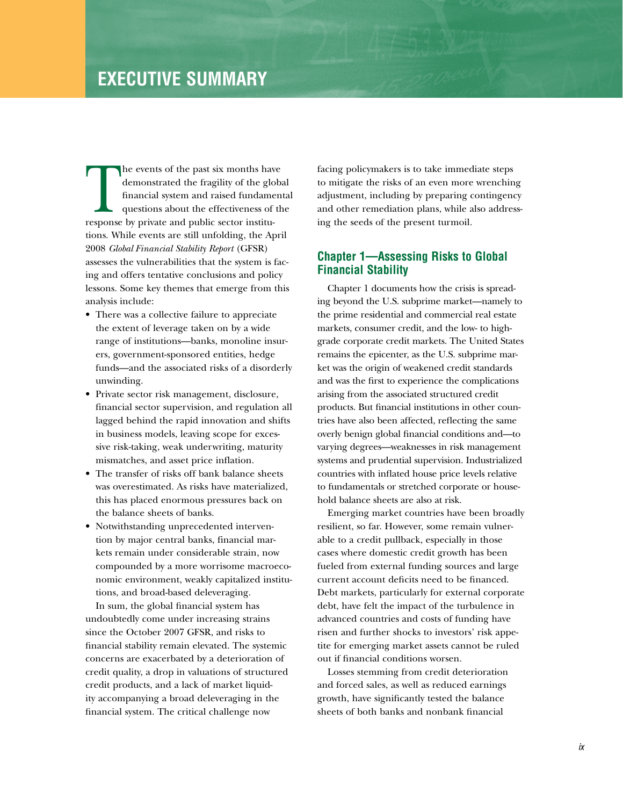The events of the past six months have<br>demonstrated the fragility of the globs<br>financial system and raised fundamen<br>questions about the effectiveness of th<br>response by private and public sector institudemonstrated the fragility of the global financial system and raised fundamental questions about the effectiveness of the response by private and public sector institutions. While events are still unfolding, the April 2008 *Global Financial Stability Report* (GFSR) assesses the vulnerabilities that the system is facing and offers tentative conclusions and policy lessons. Some key themes that emerge from this analysis include:

- There was a collective failure to appreciate the extent of leverage taken on by a wide range of institutions—banks, monoline insurers, government-sponsored entities, hedge funds—and the associated risks of a disorderly unwinding.
- Private sector risk management, disclosure, financial sector supervision, and regulation all lagged behind the rapid innovation and shifts in business models, leaving scope for excessive risk-taking, weak underwriting, maturity mismatches, and asset price inflation.
- The transfer of risks off bank balance sheets was overestimated. As risks have materialized, this has placed enormous pressures back on the balance sheets of banks.
- Notwithstanding unprecedented intervention by major central banks, financial markets remain under considerable strain, now compounded by a more worrisome macroeconomic environment, weakly capitalized institutions, and broad-based deleveraging.

In sum, the global financial system has undoubtedly come under increasing strains since the October 2007 GFSR, and risks to financial stability remain elevated. The systemic concerns are exacerbated by a deterioration of credit quality, a drop in valuations of structured credit products, and a lack of market liquidity accompanying a broad deleveraging in the financial system. The critical challenge now

facing policymakers is to take immediate steps to mitigate the risks of an even more wrenching adjustment, including by preparing contingency and other remediation plans, while also addressing the seeds of the present turmoil.

### **Chapter 1—Assessing Risks to Global Financial Stability**

Chapter 1 documents how the crisis is spreading beyond the U.S. subprime market—namely to the prime residential and commercial real estate markets, consumer credit, and the low- to highgrade corporate credit markets. The United States remains the epicenter, as the U.S. subprime market was the origin of weakened credit standards and was the first to experience the complications arising from the associated structured credit products. But financial institutions in other countries have also been affected, reflecting the same overly benign global financial conditions and—to varying degrees—weaknesses in risk management systems and prudential supervision. Industrialized countries with inflated house price levels relative to fundamentals or stretched corporate or household balance sheets are also at risk.

Emerging market countries have been broadly resilient, so far. However, some remain vulnerable to a credit pullback, especially in those cases where domestic credit growth has been fueled from external funding sources and large current account deficits need to be financed. Debt markets, particularly for external corporate debt, have felt the impact of the turbulence in advanced countries and costs of funding have risen and further shocks to investors' risk appetite for emerging market assets cannot be ruled out if financial conditions worsen.

Losses stemming from credit deterioration and forced sales, as well as reduced earnings growth, have significantly tested the balance sheets of both banks and nonbank financial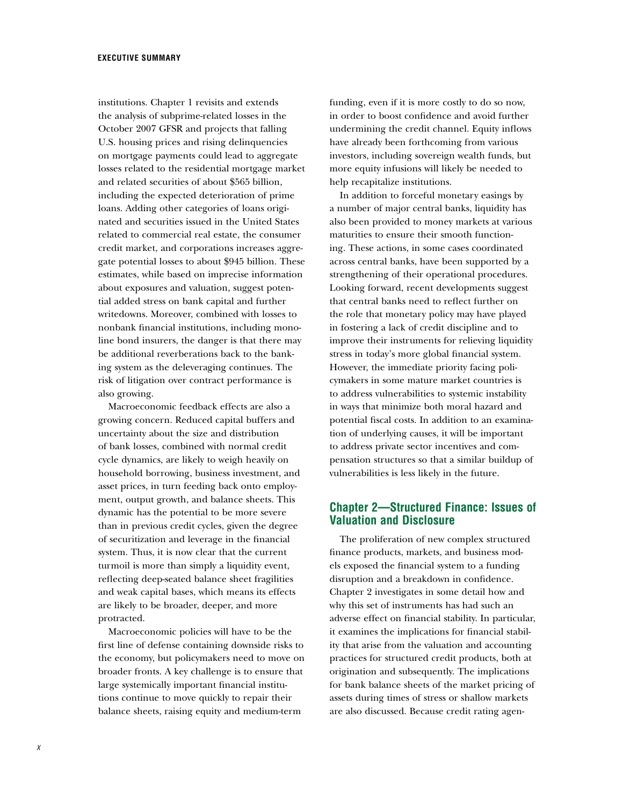institutions. Chapter 1 revisits and extends the analysis of subprime-related losses in the October 2007 GFSR and projects that falling U.S. housing prices and rising delinquencies on mortgage payments could lead to aggregate losses related to the residential mortgage market and related securities of about \$565 billion, including the expected deterioration of prime loans. Adding other categories of loans originated and securities issued in the United States related to commercial real estate, the consumer credit market, and corporations increases aggregate potential losses to about \$945 billion. These estimates, while based on imprecise information about exposures and valuation, suggest potential added stress on bank capital and further writedowns. Moreover, combined with losses to nonbank financial institutions, including monoline bond insurers, the danger is that there may be additional reverberations back to the banking system as the deleveraging continues. The risk of litigation over contract performance is also growing.

Macroeconomic feedback effects are also a growing concern. Reduced capital buffers and uncertainty about the size and distribution of bank losses, combined with normal credit cycle dynamics, are likely to weigh heavily on household borrowing, business investment, and asset prices, in turn feeding back onto employment, output growth, and balance sheets. This dynamic has the potential to be more severe than in previous credit cycles, given the degree of securitization and leverage in the financial system. Thus, it is now clear that the current turmoil is more than simply a liquidity event, reflecting deep-seated balance sheet fragilities and weak capital bases, which means its effects are likely to be broader, deeper, and more protracted.

Macroeconomic policies will have to be the first line of defense containing downside risks to the economy, but policymakers need to move on broader fronts. A key challenge is to ensure that large systemically important financial institutions continue to move quickly to repair their balance sheets, raising equity and medium-term

funding, even if it is more costly to do so now, in order to boost confidence and avoid further undermining the credit channel. Equity inflows have already been forthcoming from various investors, including sovereign wealth funds, but more equity infusions will likely be needed to help recapitalize institutions.

In addition to forceful monetary easings by a number of major central banks, liquidity has also been provided to money markets at various maturities to ensure their smooth functioning. These actions, in some cases coordinated across central banks, have been supported by a strengthening of their operational procedures. Looking forward, recent developments suggest that central banks need to reflect further on the role that monetary policy may have played in fostering a lack of credit discipline and to improve their instruments for relieving liquidity stress in today's more global financial system. However, the immediate priority facing policymakers in some mature market countries is to address vulnerabilities to systemic instability in ways that minimize both moral hazard and potential fiscal costs. In addition to an examination of underlying causes, it will be important to address private sector incentives and compensation structures so that a similar buildup of vulnerabilities is less likely in the future.

# **Chapter 2—Structured Finance: Issues of Valuation and Disclosure**

The proliferation of new complex structured finance products, markets, and business models exposed the financial system to a funding disruption and a breakdown in confidence. Chapter 2 investigates in some detail how and why this set of instruments has had such an adverse effect on financial stability. In particular, it examines the implications for financial stability that arise from the valuation and accounting practices for structured credit products, both at origination and subsequently. The implications for bank balance sheets of the market pricing of assets during times of stress or shallow markets are also discussed. Because credit rating agen-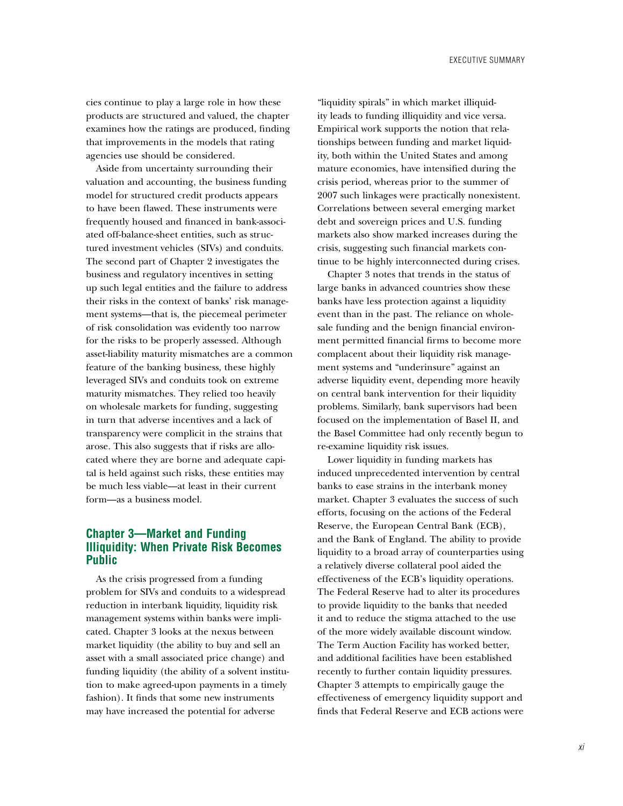Executive Summary

cies continue to play a large role in how these products are structured and valued, the chapter examines how the ratings are produced, finding that improvements in the models that rating agencies use should be considered.

Aside from uncertainty surrounding their valuation and accounting, the business funding model for structured credit products appears to have been flawed. These instruments were frequently housed and financed in bank-associated off-balance-sheet entities, such as structured investment vehicles (SIVs) and conduits. The second part of Chapter 2 investigates the business and regulatory incentives in setting up such legal entities and the failure to address their risks in the context of banks' risk management systems—that is, the piecemeal perimeter of risk consolidation was evidently too narrow for the risks to be properly assessed. Although asset-liability maturity mismatches are a common feature of the banking business, these highly leveraged SIVs and conduits took on extreme maturity mismatches. They relied too heavily on wholesale markets for funding, suggesting in turn that adverse incentives and a lack of transparency were complicit in the strains that arose. This also suggests that if risks are allocated where they are borne and adequate capital is held against such risks, these entities may be much less viable—at least in their current form—as a business model.

## **Chapter 3—Market and Funding Illiquidity: When Private Risk Becomes Public**

As the crisis progressed from a funding problem for SIVs and conduits to a widespread reduction in interbank liquidity, liquidity risk management systems within banks were implicated. Chapter 3 looks at the nexus between market liquidity (the ability to buy and sell an asset with a small associated price change) and funding liquidity (the ability of a solvent institution to make agreed-upon payments in a timely fashion). It finds that some new instruments may have increased the potential for adverse

"liquidity spirals" in which market illiquidity leads to funding illiquidity and vice versa. Empirical work supports the notion that relationships between funding and market liquidity, both within the United States and among mature economies, have intensified during the crisis period, whereas prior to the summer of 2007 such linkages were practically nonexistent. Correlations between several emerging market debt and sovereign prices and U.S. funding markets also show marked increases during the crisis, suggesting such financial markets continue to be highly interconnected during crises.

Chapter 3 notes that trends in the status of large banks in advanced countries show these banks have less protection against a liquidity event than in the past. The reliance on wholesale funding and the benign financial environment permitted financial firms to become more complacent about their liquidity risk management systems and "underinsure" against an adverse liquidity event, depending more heavily on central bank intervention for their liquidity problems. Similarly, bank supervisors had been focused on the implementation of Basel II, and the Basel Committee had only recently begun to re-examine liquidity risk issues.

Lower liquidity in funding markets has induced unprecedented intervention by central banks to ease strains in the interbank money market. Chapter 3 evaluates the success of such efforts, focusing on the actions of the Federal Reserve, the European Central Bank (ECB), and the Bank of England. The ability to provide liquidity to a broad array of counterparties using a relatively diverse collateral pool aided the effectiveness of the ECB's liquidity operations. The Federal Reserve had to alter its procedures to provide liquidity to the banks that needed it and to reduce the stigma attached to the use of the more widely available discount window. The Term Auction Facility has worked better, and additional facilities have been established recently to further contain liquidity pressures. Chapter 3 attempts to empirically gauge the effectiveness of emergency liquidity support and finds that Federal Reserve and ECB actions were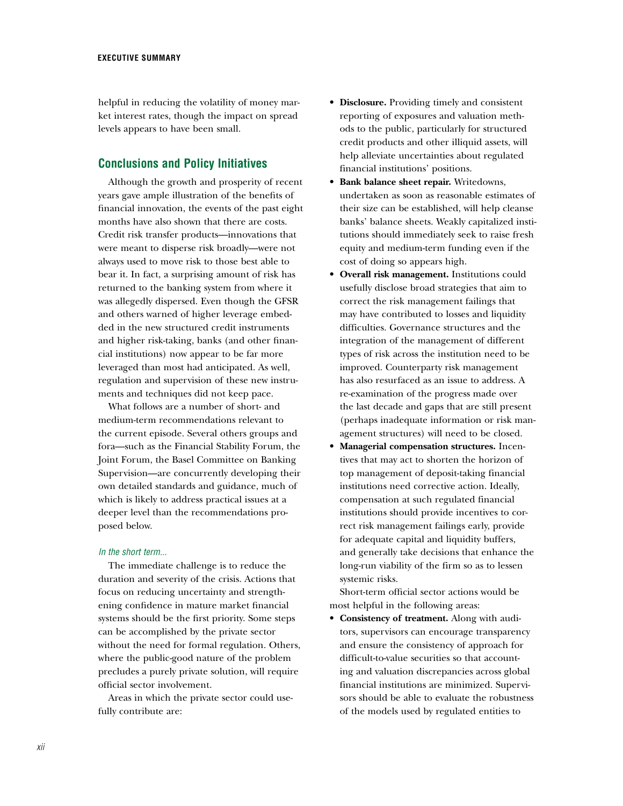helpful in reducing the volatility of money market interest rates, though the impact on spread levels appears to have been small.

### **Conclusions and Policy Initiatives**

Although the growth and prosperity of recent years gave ample illustration of the benefits of financial innovation, the events of the past eight months have also shown that there are costs. Credit risk transfer products—innovations that were meant to disperse risk broadly—were not always used to move risk to those best able to bear it. In fact, a surprising amount of risk has returned to the banking system from where it was allegedly dispersed. Even though the GFSR and others warned of higher leverage embedded in the new structured credit instruments and higher risk-taking, banks (and other financial institutions) now appear to be far more leveraged than most had anticipated. As well, regulation and supervision of these new instruments and techniques did not keep pace.

What follows are a number of short- and medium-term recommendations relevant to the current episode. Several others groups and fora—such as the Financial Stability Forum, the Joint Forum, the Basel Committee on Banking Supervision—are concurrently developing their own detailed standards and guidance, much of which is likely to address practical issues at a deeper level than the recommendations proposed below.

#### *In the short term...*

The immediate challenge is to reduce the duration and severity of the crisis. Actions that focus on reducing uncertainty and strengthening confidence in mature market financial systems should be the first priority. Some steps can be accomplished by the private sector without the need for formal regulation. Others, where the public-good nature of the problem precludes a purely private solution, will require official sector involvement.

Areas in which the private sector could usefully contribute are:

- **Disclosure.** Providing timely and consistent reporting of exposures and valuation methods to the public, particularly for structured credit products and other illiquid assets, will help alleviate uncertainties about regulated financial institutions' positions.
- **Bank balance sheet repair.** Writedowns, undertaken as soon as reasonable estimates of their size can be established, will help cleanse banks' balance sheets. Weakly capitalized institutions should immediately seek to raise fresh equity and medium-term funding even if the cost of doing so appears high.
- **Overall risk management.** Institutions could usefully disclose broad strategies that aim to correct the risk management failings that may have contributed to losses and liquidity difficulties. Governance structures and the integration of the management of different types of risk across the institution need to be improved. Counterparty risk management has also resurfaced as an issue to address. A re-examination of the progress made over the last decade and gaps that are still present (perhaps inadequate information or risk management structures) will need to be closed.
- **Managerial compensation structures.** Incentives that may act to shorten the horizon of top management of deposit-taking financial institutions need corrective action. Ideally, compensation at such regulated financial institutions should provide incentives to correct risk management failings early, provide for adequate capital and liquidity buffers, and generally take decisions that enhance the long-run viability of the firm so as to lessen systemic risks.

Short-term official sector actions would be most helpful in the following areas:

• **Consistency of treatment.** Along with auditors, supervisors can encourage transparency and ensure the consistency of approach for difficult-to-value securities so that accounting and valuation discrepancies across global financial institutions are minimized. Supervisors should be able to evaluate the robustness of the models used by regulated entities to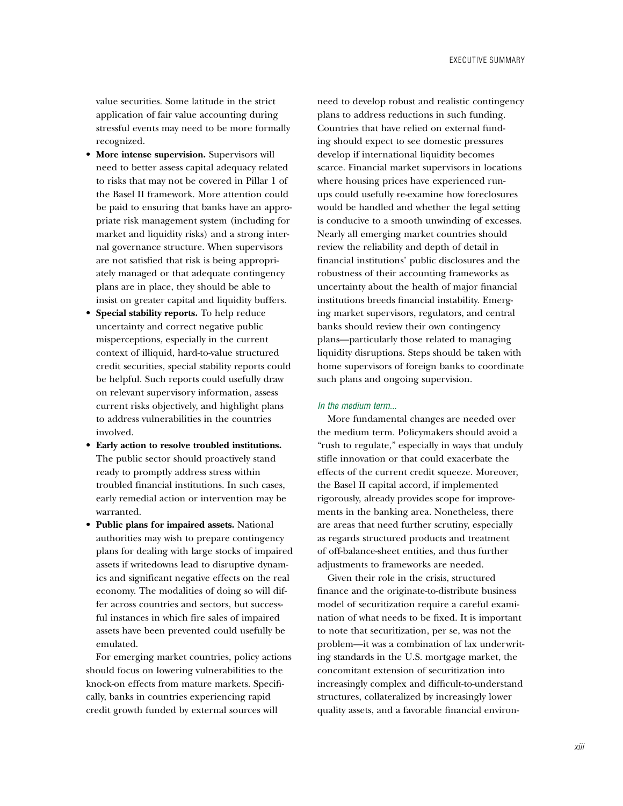value securities. Some latitude in the strict application of fair value accounting during stressful events may need to be more formally recognized.

- **More intense supervision.** Supervisors will need to better assess capital adequacy related to risks that may not be covered in Pillar 1 of the Basel II framework. More attention could be paid to ensuring that banks have an appropriate risk management system (including for market and liquidity risks) and a strong internal governance structure. When supervisors are not satisfied that risk is being appropriately managed or that adequate contingency plans are in place, they should be able to insist on greater capital and liquidity buffers.
- **Special stability reports.** To help reduce uncertainty and correct negative public misperceptions, especially in the current context of illiquid, hard-to-value structured credit securities, special stability reports could be helpful. Such reports could usefully draw on relevant supervisory information, assess current risks objectively, and highlight plans to address vulnerabilities in the countries involved.
- **Early action to resolve troubled institutions.**  The public sector should proactively stand ready to promptly address stress within troubled financial institutions. In such cases, early remedial action or intervention may be warranted.
- **Public plans for impaired assets.** National authorities may wish to prepare contingency plans for dealing with large stocks of impaired assets if writedowns lead to disruptive dynamics and significant negative effects on the real economy. The modalities of doing so will differ across countries and sectors, but successful instances in which fire sales of impaired assets have been prevented could usefully be emulated.

For emerging market countries, policy actions should focus on lowering vulnerabilities to the knock-on effects from mature markets. Specifically, banks in countries experiencing rapid credit growth funded by external sources will

need to develop robust and realistic contingency plans to address reductions in such funding. Countries that have relied on external funding should expect to see domestic pressures develop if international liquidity becomes scarce. Financial market supervisors in locations where housing prices have experienced runups could usefully re-examine how foreclosures would be handled and whether the legal setting is conducive to a smooth unwinding of excesses. Nearly all emerging market countries should review the reliability and depth of detail in financial institutions' public disclosures and the robustness of their accounting frameworks as uncertainty about the health of major financial institutions breeds financial instability. Emerging market supervisors, regulators, and central banks should review their own contingency plans—particularly those related to managing liquidity disruptions. Steps should be taken with home supervisors of foreign banks to coordinate such plans and ongoing supervision.

#### *In the medium term...*

More fundamental changes are needed over the medium term. Policymakers should avoid a "rush to regulate," especially in ways that unduly stifle innovation or that could exacerbate the effects of the current credit squeeze. Moreover, the Basel II capital accord, if implemented rigorously, already provides scope for improvements in the banking area. Nonetheless, there are areas that need further scrutiny, especially as regards structured products and treatment of off-balance-sheet entities, and thus further adjustments to frameworks are needed.

Given their role in the crisis, structured finance and the originate-to-distribute business model of securitization require a careful examination of what needs to be fixed. It is important to note that securitization, per se, was not the problem—it was a combination of lax underwriting standards in the U.S. mortgage market, the concomitant extension of securitization into increasingly complex and difficult-to-understand structures, collateralized by increasingly lower quality assets, and a favorable financial environ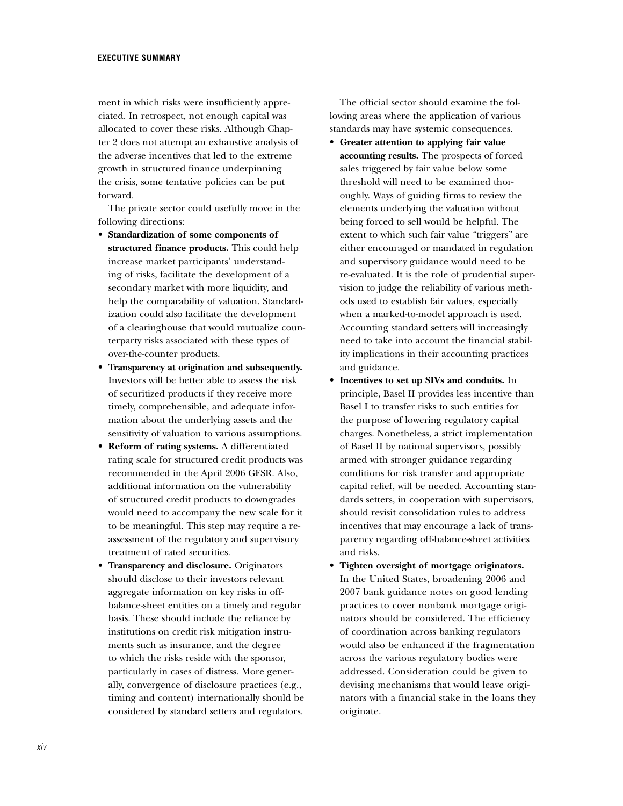ment in which risks were insufficiently appreciated. In retrospect, not enough capital was allocated to cover these risks. Although Chapter 2 does not attempt an exhaustive analysis of the adverse incentives that led to the extreme growth in structured finance underpinning the crisis, some tentative policies can be put forward.

The private sector could usefully move in the following directions:

- **Standardization of some components of structured finance products.** This could help increase market participants' understanding of risks, facilitate the development of a secondary market with more liquidity, and help the comparability of valuation. Standardization could also facilitate the development of a clearinghouse that would mutualize counterparty risks associated with these types of over-the-counter products.
- **Transparency at origination and subsequently.**  Investors will be better able to assess the risk of securitized products if they receive more timely, comprehensible, and adequate information about the underlying assets and the sensitivity of valuation to various assumptions.
- **Reform of rating systems.** A differentiated rating scale for structured credit products was recommended in the April 2006 GFSR. Also, additional information on the vulnerability of structured credit products to downgrades would need to accompany the new scale for it to be meaningful. This step may require a reassessment of the regulatory and supervisory treatment of rated securities.
- **Transparency and disclosure.** Originators should disclose to their investors relevant aggregate information on key risks in offbalance-sheet entities on a timely and regular basis. These should include the reliance by institutions on credit risk mitigation instruments such as insurance, and the degree to which the risks reside with the sponsor, particularly in cases of distress. More generally, convergence of disclosure practices (e.g., timing and content) internationally should be considered by standard setters and regulators.

The official sector should examine the following areas where the application of various standards may have systemic consequences.

- **Greater attention to applying fair value accounting results.** The prospects of forced sales triggered by fair value below some threshold will need to be examined thoroughly. Ways of guiding firms to review the elements underlying the valuation without being forced to sell would be helpful. The extent to which such fair value "triggers" are either encouraged or mandated in regulation and supervisory guidance would need to be re-evaluated. It is the role of prudential supervision to judge the reliability of various methods used to establish fair values, especially when a marked-to-model approach is used. Accounting standard setters will increasingly need to take into account the financial stability implications in their accounting practices and guidance.
- **Incentives to set up SIVs and conduits.** In principle, Basel II provides less incentive than Basel I to transfer risks to such entities for the purpose of lowering regulatory capital charges. Nonetheless, a strict implementation of Basel II by national supervisors, possibly armed with stronger guidance regarding conditions for risk transfer and appropriate capital relief, will be needed. Accounting standards setters, in cooperation with supervisors, should revisit consolidation rules to address incentives that may encourage a lack of transparency regarding off-balance-sheet activities and risks.
- **Tighten oversight of mortgage originators.** In the United States, broadening 2006 and 2007 bank guidance notes on good lending practices to cover nonbank mortgage originators should be considered. The efficiency of coordination across banking regulators would also be enhanced if the fragmentation across the various regulatory bodies were addressed. Consideration could be given to devising mechanisms that would leave originators with a financial stake in the loans they originate.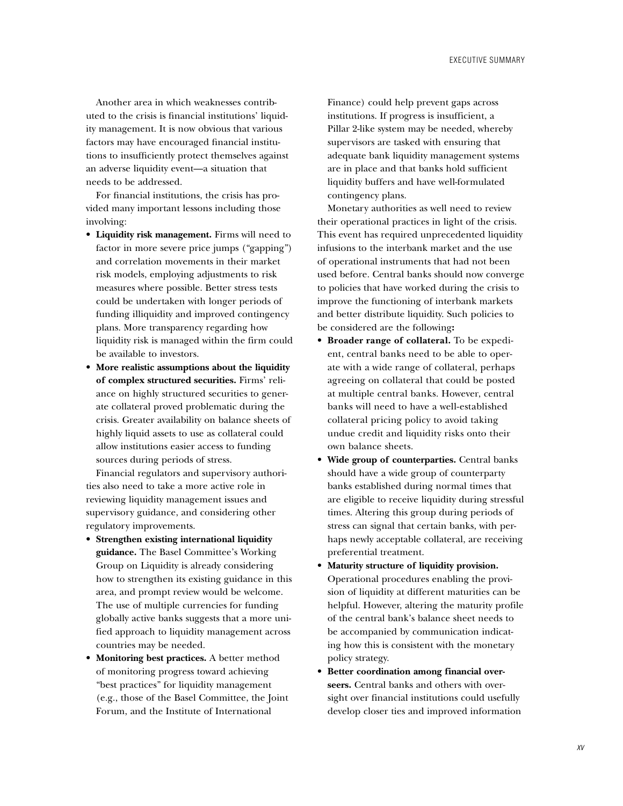Another area in which weaknesses contributed to the crisis is financial institutions' liquidity management. It is now obvious that various factors may have encouraged financial institutions to insufficiently protect themselves against an adverse liquidity event—a situation that needs to be addressed.

For financial institutions, the crisis has provided many important lessons including those involving:

- **Liquidity risk management.** Firms will need to factor in more severe price jumps ("gapping") and correlation movements in their market risk models, employing adjustments to risk measures where possible. Better stress tests could be undertaken with longer periods of funding illiquidity and improved contingency plans. More transparency regarding how liquidity risk is managed within the firm could be available to investors.
- **More realistic assumptions about the liquidity of complex structured securities.** Firms' reliance on highly structured securities to generate collateral proved problematic during the crisis. Greater availability on balance sheets of highly liquid assets to use as collateral could allow institutions easier access to funding sources during periods of stress.

Financial regulators and supervisory authorities also need to take a more active role in reviewing liquidity management issues and supervisory guidance, and considering other regulatory improvements.

- **Strengthen existing international liquidity guidance.** The Basel Committee's Working Group on Liquidity is already considering how to strengthen its existing guidance in this area, and prompt review would be welcome. The use of multiple currencies for funding globally active banks suggests that a more unified approach to liquidity management across countries may be needed.
- **Monitoring best practices.** A better method of monitoring progress toward achieving "best practices" for liquidity management (e.g., those of the Basel Committee, the Joint Forum, and the Institute of International

Finance) could help prevent gaps across institutions. If progress is insufficient, a Pillar 2-like system may be needed, whereby supervisors are tasked with ensuring that adequate bank liquidity management systems are in place and that banks hold sufficient liquidity buffers and have well-formulated contingency plans.

Monetary authorities as well need to review their operational practices in light of the crisis. This event has required unprecedented liquidity infusions to the interbank market and the use of operational instruments that had not been used before. Central banks should now converge to policies that have worked during the crisis to improve the functioning of interbank markets and better distribute liquidity. Such policies to be considered are the following**:**

- **Broader range of collateral.** To be expedient, central banks need to be able to operate with a wide range of collateral, perhaps agreeing on collateral that could be posted at multiple central banks. However, central banks will need to have a well-established collateral pricing policy to avoid taking undue credit and liquidity risks onto their own balance sheets.
- **Wide group of counterparties.** Central banks should have a wide group of counterparty banks established during normal times that are eligible to receive liquidity during stressful times. Altering this group during periods of stress can signal that certain banks, with perhaps newly acceptable collateral, are receiving preferential treatment.
- **Maturity structure of liquidity provision.**  Operational procedures enabling the provision of liquidity at different maturities can be helpful. However, altering the maturity profile of the central bank's balance sheet needs to be accompanied by communication indicating how this is consistent with the monetary policy strategy.
- **Better coordination among financial overseers.** Central banks and others with oversight over financial institutions could usefully develop closer ties and improved information